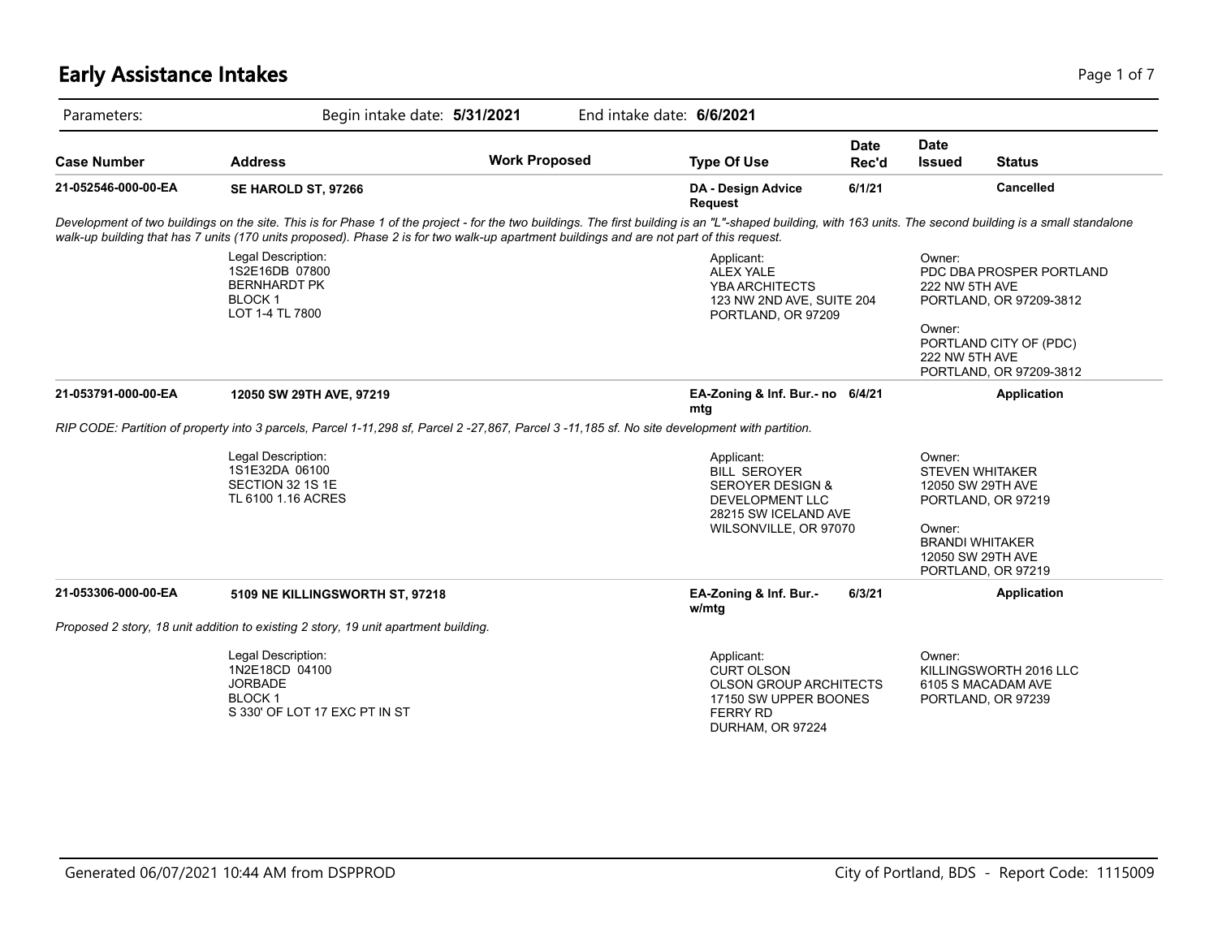# **Early Assistance Intakes** Page 1 of 7

| Parameters:         | Begin intake date: 5/31/2021                                                                                                                                                                                                                                                                                                                              |                      | End intake date: 6/6/2021                                                                                                            |                      |                                                                      |                                                                                                          |
|---------------------|-----------------------------------------------------------------------------------------------------------------------------------------------------------------------------------------------------------------------------------------------------------------------------------------------------------------------------------------------------------|----------------------|--------------------------------------------------------------------------------------------------------------------------------------|----------------------|----------------------------------------------------------------------|----------------------------------------------------------------------------------------------------------|
| <b>Case Number</b>  | <b>Address</b>                                                                                                                                                                                                                                                                                                                                            | <b>Work Proposed</b> | <b>Type Of Use</b>                                                                                                                   | <b>Date</b><br>Rec'd | <b>Date</b><br><b>Issued</b>                                         | <b>Status</b>                                                                                            |
| 21-052546-000-00-EA | SE HAROLD ST, 97266                                                                                                                                                                                                                                                                                                                                       |                      | DA - Design Advice<br><b>Request</b>                                                                                                 | 6/1/21               |                                                                      | <b>Cancelled</b>                                                                                         |
|                     | Development of two buildings on the site. This is for Phase 1 of the project - for the two buildings. The first building is an "L"-shaped building, with 163 units. The second building is a small standalone<br>walk-up building that has 7 units (170 units proposed). Phase 2 is for two walk-up apartment buildings and are not part of this request. |                      |                                                                                                                                      |                      |                                                                      |                                                                                                          |
|                     | Legal Description:<br>1S2E16DB 07800<br><b>BERNHARDT PK</b><br><b>BLOCK1</b><br>LOT 1-4 TL 7800                                                                                                                                                                                                                                                           |                      | Applicant:<br><b>ALEX YALE</b><br><b>YBA ARCHITECTS</b><br>123 NW 2ND AVE, SUITE 204<br>PORTLAND, OR 97209                           |                      | Owner:<br>222 NW 5TH AVE<br>Owner:<br>222 NW 5TH AVE                 | PDC DBA PROSPER PORTLAND<br>PORTLAND, OR 97209-3812<br>PORTLAND CITY OF (PDC)<br>PORTLAND, OR 97209-3812 |
| 21-053791-000-00-EA | 12050 SW 29TH AVE, 97219                                                                                                                                                                                                                                                                                                                                  |                      | EA-Zoning & Inf. Bur.- no 6/4/21<br>mta                                                                                              |                      |                                                                      | Application                                                                                              |
|                     | RIP CODE: Partition of property into 3 parcels, Parcel 1-11,298 sf, Parcel 2-27,867, Parcel 3-11,185 sf. No site development with partition.                                                                                                                                                                                                              |                      |                                                                                                                                      |                      |                                                                      |                                                                                                          |
|                     | Legal Description:<br>1S1E32DA 06100<br>SECTION 32 1S 1E<br>TL 6100 1.16 ACRES                                                                                                                                                                                                                                                                            |                      | Applicant:<br><b>BILL SEROYER</b><br><b>SEROYER DESIGN &amp;</b><br>DEVELOPMENT LLC<br>28215 SW ICELAND AVE<br>WILSONVILLE, OR 97070 |                      | Owner:<br><b>STEVEN WHITAKER</b><br>Owner:<br><b>BRANDI WHITAKER</b> | 12050 SW 29TH AVE<br>PORTLAND, OR 97219<br>12050 SW 29TH AVE<br>PORTLAND, OR 97219                       |
| 21-053306-000-00-EA | 5109 NE KILLINGSWORTH ST, 97218                                                                                                                                                                                                                                                                                                                           |                      | EA-Zoning & Inf. Bur.-<br>w/mtg                                                                                                      | 6/3/21               |                                                                      | Application                                                                                              |
|                     | Proposed 2 story, 18 unit addition to existing 2 story, 19 unit apartment building.                                                                                                                                                                                                                                                                       |                      |                                                                                                                                      |                      |                                                                      |                                                                                                          |
|                     | Legal Description:<br>1N2E18CD 04100<br><b>JORBADE</b><br><b>BLOCK1</b><br>S 330' OF LOT 17 EXC PT IN ST                                                                                                                                                                                                                                                  |                      | Applicant:<br><b>CURT OLSON</b><br>OLSON GROUP ARCHITECTS<br>17150 SW UPPER BOONES<br><b>FERRY RD</b><br>DURHAM, OR 97224            |                      | Owner:                                                               | KILLINGSWORTH 2016 LLC<br>6105 S MACADAM AVE<br>PORTLAND, OR 97239                                       |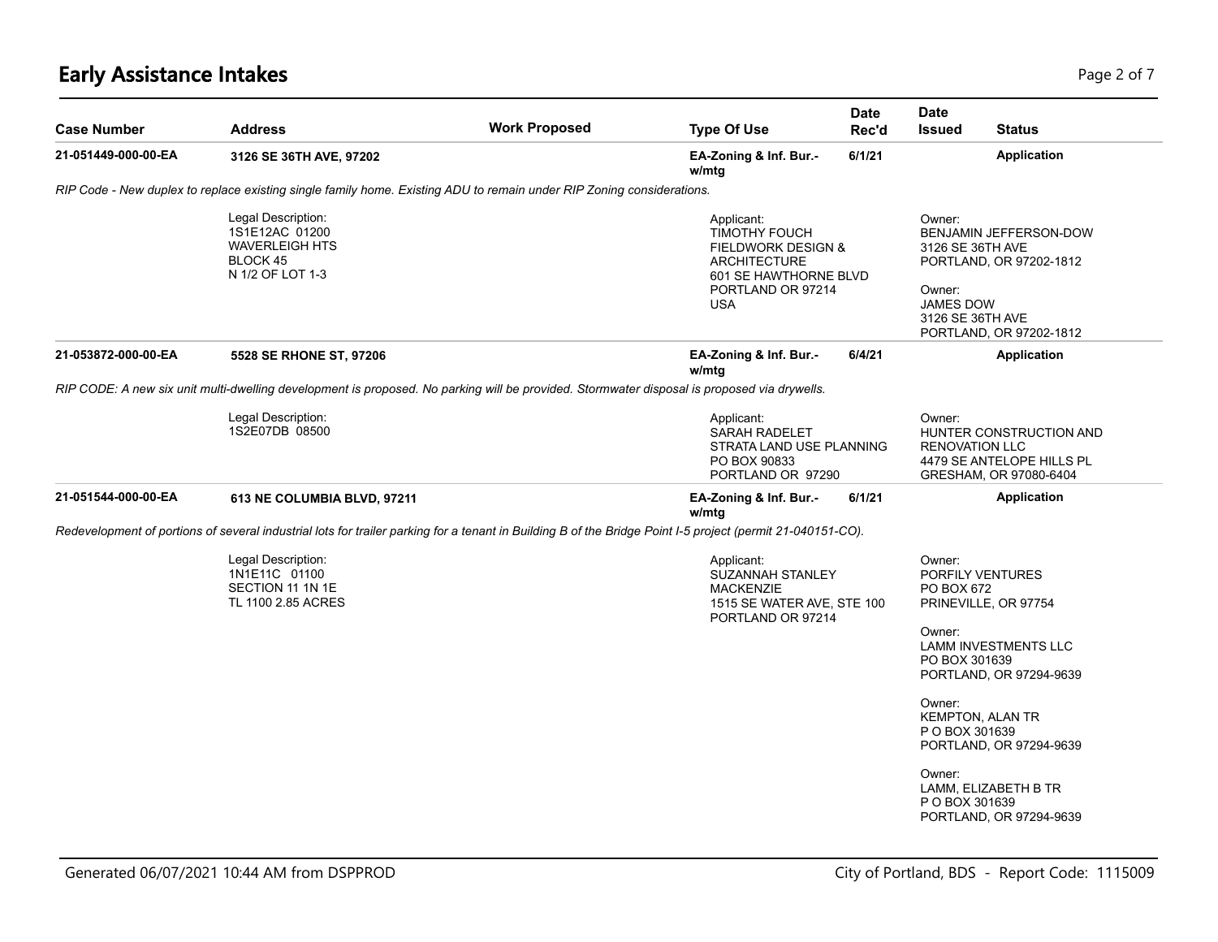# **Early Assistance Intakes** Page 2 of 7

| <b>Case Number</b>  | <b>Address</b>                                                                                                                                             | <b>Work Proposed</b> | <b>Type Of Use</b>                                                                                                                                     | <b>Date</b><br>Rec'd | <b>Date</b><br><b>Issued</b>                                          | <b>Status</b>                                                                               |
|---------------------|------------------------------------------------------------------------------------------------------------------------------------------------------------|----------------------|--------------------------------------------------------------------------------------------------------------------------------------------------------|----------------------|-----------------------------------------------------------------------|---------------------------------------------------------------------------------------------|
| 21-051449-000-00-EA | 3126 SE 36TH AVE, 97202                                                                                                                                    |                      | EA-Zoning & Inf. Bur.-<br>w/mtg                                                                                                                        | 6/1/21               |                                                                       | <b>Application</b>                                                                          |
|                     | RIP Code - New duplex to replace existing single family home. Existing ADU to remain under RIP Zoning considerations.                                      |                      |                                                                                                                                                        |                      |                                                                       |                                                                                             |
|                     | Legal Description:<br>1S1E12AC 01200<br><b>WAVERLEIGH HTS</b><br>BLOCK 45<br>N 1/2 OF LOT 1-3                                                              |                      | Applicant:<br><b>TIMOTHY FOUCH</b><br><b>FIELDWORK DESIGN &amp;</b><br><b>ARCHITECTURE</b><br>601 SE HAWTHORNE BLVD<br>PORTLAND OR 97214<br><b>USA</b> |                      | Owner:<br>3126 SE 36TH AVE<br>Owner:<br>JAMES DOW<br>3126 SE 36TH AVE | BENJAMIN JEFFERSON-DOW<br>PORTLAND, OR 97202-1812<br>PORTLAND, OR 97202-1812                |
| 21-053872-000-00-EA | 5528 SE RHONE ST, 97206                                                                                                                                    |                      | EA-Zoning & Inf. Bur.-<br>w/mtg                                                                                                                        | 6/4/21               |                                                                       | <b>Application</b>                                                                          |
|                     | RIP CODE: A new six unit multi-dwelling development is proposed. No parking will be provided. Stormwater disposal is proposed via drywells.                |                      |                                                                                                                                                        |                      |                                                                       |                                                                                             |
|                     | Legal Description:<br>1S2E07DB 08500                                                                                                                       |                      | Applicant:<br>SARAH RADELET<br>STRATA LAND USE PLANNING<br>PO BOX 90833<br>PORTLAND OR 97290                                                           |                      | Owner:<br><b>RENOVATION LLC</b>                                       | HUNTER CONSTRUCTION AND<br>4479 SE ANTELOPE HILLS PL<br>GRESHAM, OR 97080-6404              |
| 21-051544-000-00-EA | 613 NE COLUMBIA BLVD, 97211                                                                                                                                |                      | EA-Zoning & Inf. Bur.-<br>w/mtg                                                                                                                        | 6/1/21               |                                                                       | <b>Application</b>                                                                          |
|                     | Redevelopment of portions of several industrial lots for trailer parking for a tenant in Building B of the Bridge Point I-5 project (permit 21-040151-CO). |                      |                                                                                                                                                        |                      |                                                                       |                                                                                             |
|                     | Legal Description:<br>1N1E11C 01100<br>SECTION 11 1N 1E<br>TL 1100 2.85 ACRES                                                                              |                      | Applicant:<br><b>SUZANNAH STANLEY</b><br><b>MACKENZIE</b><br>1515 SE WATER AVE, STE 100<br>PORTLAND OR 97214                                           |                      | Owner:<br>PO BOX 672<br>Owner:<br>PO BOX 301639                       | PORFILY VENTURES<br>PRINEVILLE, OR 97754<br>LAMM INVESTMENTS LLC<br>PORTLAND, OR 97294-9639 |
|                     |                                                                                                                                                            |                      |                                                                                                                                                        |                      | Owner:<br><b>KEMPTON, ALAN TR</b><br>P O BOX 301639                   | PORTLAND, OR 97294-9639                                                                     |
|                     |                                                                                                                                                            |                      |                                                                                                                                                        |                      | Owner:<br>P O BOX 301639                                              | LAMM, ELIZABETH B TR<br>PORTLAND, OR 97294-9639                                             |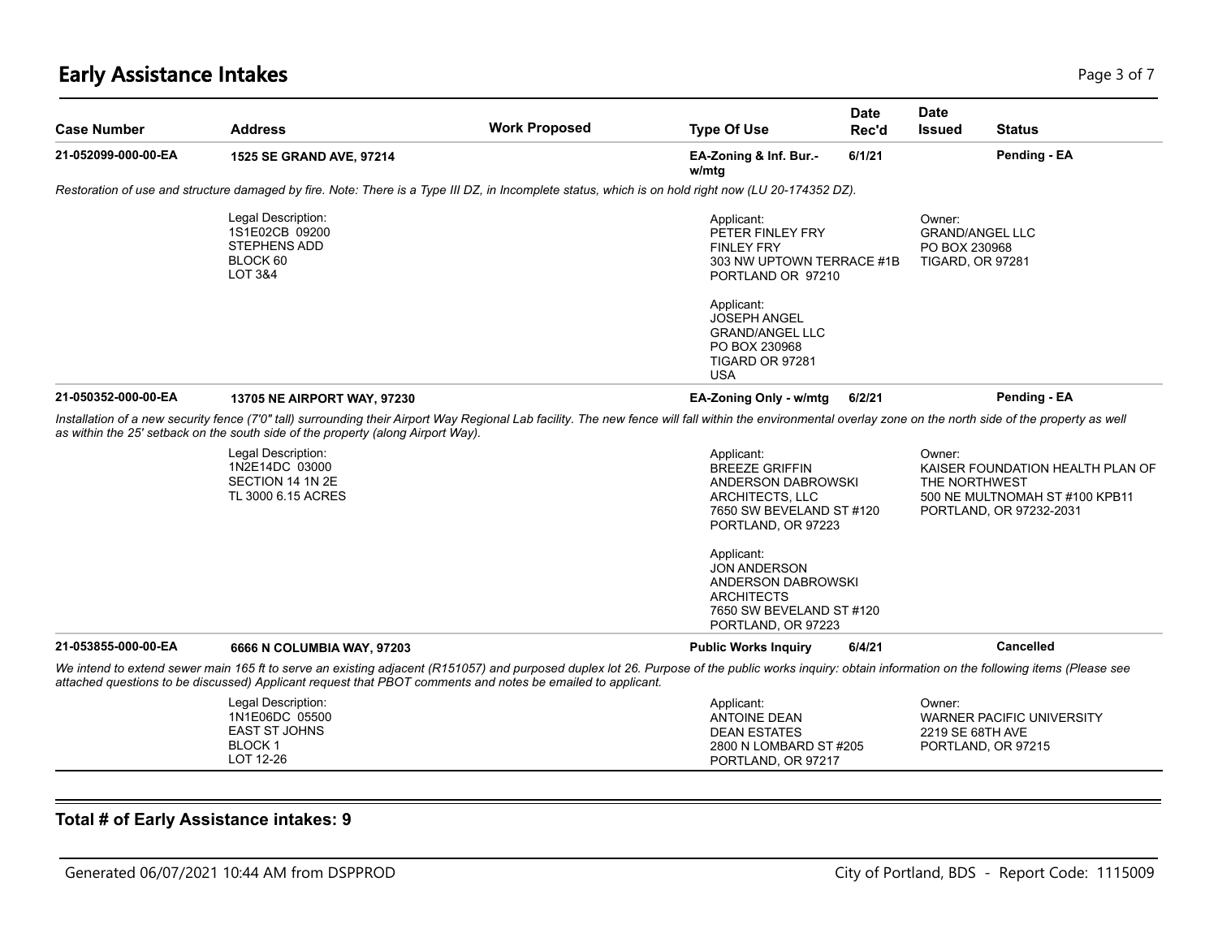# **Early Assistance Intakes** Page 1 of 7 and 2012 12:00 Page 1 of 7 and 2012 12:00 Page 3 of 7

| <b>Case Number</b>  | <b>Address</b>                                                                                                                                                                                                                                                                                                      | <b>Work Proposed</b> | <b>Type Of Use</b>                                                                                                             | <b>Date</b><br>Rec'd | <b>Date</b><br><b>Issued</b>                       | <b>Status</b>                                                                                 |
|---------------------|---------------------------------------------------------------------------------------------------------------------------------------------------------------------------------------------------------------------------------------------------------------------------------------------------------------------|----------------------|--------------------------------------------------------------------------------------------------------------------------------|----------------------|----------------------------------------------------|-----------------------------------------------------------------------------------------------|
| 21-052099-000-00-EA | 1525 SE GRAND AVE, 97214                                                                                                                                                                                                                                                                                            |                      | EA-Zoning & Inf. Bur.-<br>w/mtg                                                                                                | 6/1/21               |                                                    | Pending - EA                                                                                  |
|                     | Restoration of use and structure damaged by fire. Note: There is a Type III DZ, in Incomplete status, which is on hold right now (LU 20-174352 DZ).                                                                                                                                                                 |                      |                                                                                                                                |                      |                                                    |                                                                                               |
|                     | Legal Description:<br>1S1E02CB 09200<br>STEPHENS ADD<br>BLOCK 60<br><b>LOT 3&amp;4</b>                                                                                                                                                                                                                              |                      | Applicant:<br>PETER FINLEY FRY<br><b>FINLEY FRY</b><br>303 NW UPTOWN TERRACE #1B<br>PORTLAND OR 97210                          |                      | Owner:<br>PO BOX 230968<br><b>TIGARD, OR 97281</b> | <b>GRAND/ANGEL LLC</b>                                                                        |
|                     |                                                                                                                                                                                                                                                                                                                     |                      | Applicant:<br><b>JOSEPH ANGEL</b><br><b>GRAND/ANGEL LLC</b><br>PO BOX 230968<br>TIGARD OR 97281<br><b>USA</b>                  |                      |                                                    |                                                                                               |
| 21-050352-000-00-EA | <b>13705 NE AIRPORT WAY, 97230</b>                                                                                                                                                                                                                                                                                  |                      | EA-Zoning Only - w/mtg                                                                                                         | 6/2/21               |                                                    | Pending - EA                                                                                  |
|                     | Installation of a new security fence (7'0" tall) surrounding their Airport Way Regional Lab facility. The new fence will fall within the environmental overlay zone on the north side of the property as well<br>as within the 25' setback on the south side of the property (along Airport Way).                   |                      |                                                                                                                                |                      |                                                    |                                                                                               |
|                     | Legal Description:<br>1N2E14DC 03000<br>SECTION 14 1N 2E<br>TL 3000 6.15 ACRES                                                                                                                                                                                                                                      |                      | Applicant:<br><b>BREEZE GRIFFIN</b><br>ANDERSON DABROWSKI<br>ARCHITECTS, LLC<br>7650 SW BEVELAND ST #120<br>PORTLAND, OR 97223 |                      | Owner:<br>THE NORTHWEST                            | KAISER FOUNDATION HEALTH PLAN OF<br>500 NE MULTNOMAH ST #100 KPB11<br>PORTLAND, OR 97232-2031 |
|                     |                                                                                                                                                                                                                                                                                                                     |                      | Applicant:<br><b>JON ANDERSON</b><br>ANDERSON DABROWSKI<br><b>ARCHITECTS</b><br>7650 SW BEVELAND ST #120<br>PORTLAND, OR 97223 |                      |                                                    |                                                                                               |
| 21-053855-000-00-EA | 6666 N COLUMBIA WAY, 97203                                                                                                                                                                                                                                                                                          |                      | <b>Public Works Inquiry</b>                                                                                                    | 6/4/21               |                                                    | <b>Cancelled</b>                                                                              |
|                     | We intend to extend sewer main 165 ft to serve an existing adjacent (R151057) and purposed duplex lot 26. Purpose of the public works inquiry: obtain information on the following items (Please see<br>attached questions to be discussed) Applicant request that PBOT comments and notes be emailed to applicant. |                      |                                                                                                                                |                      |                                                    |                                                                                               |
|                     | Legal Description:<br>1N1E06DC 05500<br><b>EAST ST JOHNS</b><br><b>BLOCK1</b><br>LOT 12-26                                                                                                                                                                                                                          |                      | Applicant:<br><b>ANTOINE DEAN</b><br><b>DEAN ESTATES</b><br>2800 N LOMBARD ST #205<br>PORTLAND, OR 97217                       |                      | Owner:<br>2219 SE 68TH AVE                         | WARNER PACIFIC UNIVERSITY<br>PORTLAND, OR 97215                                               |

#### **Total # of Early Assistance intakes: 9**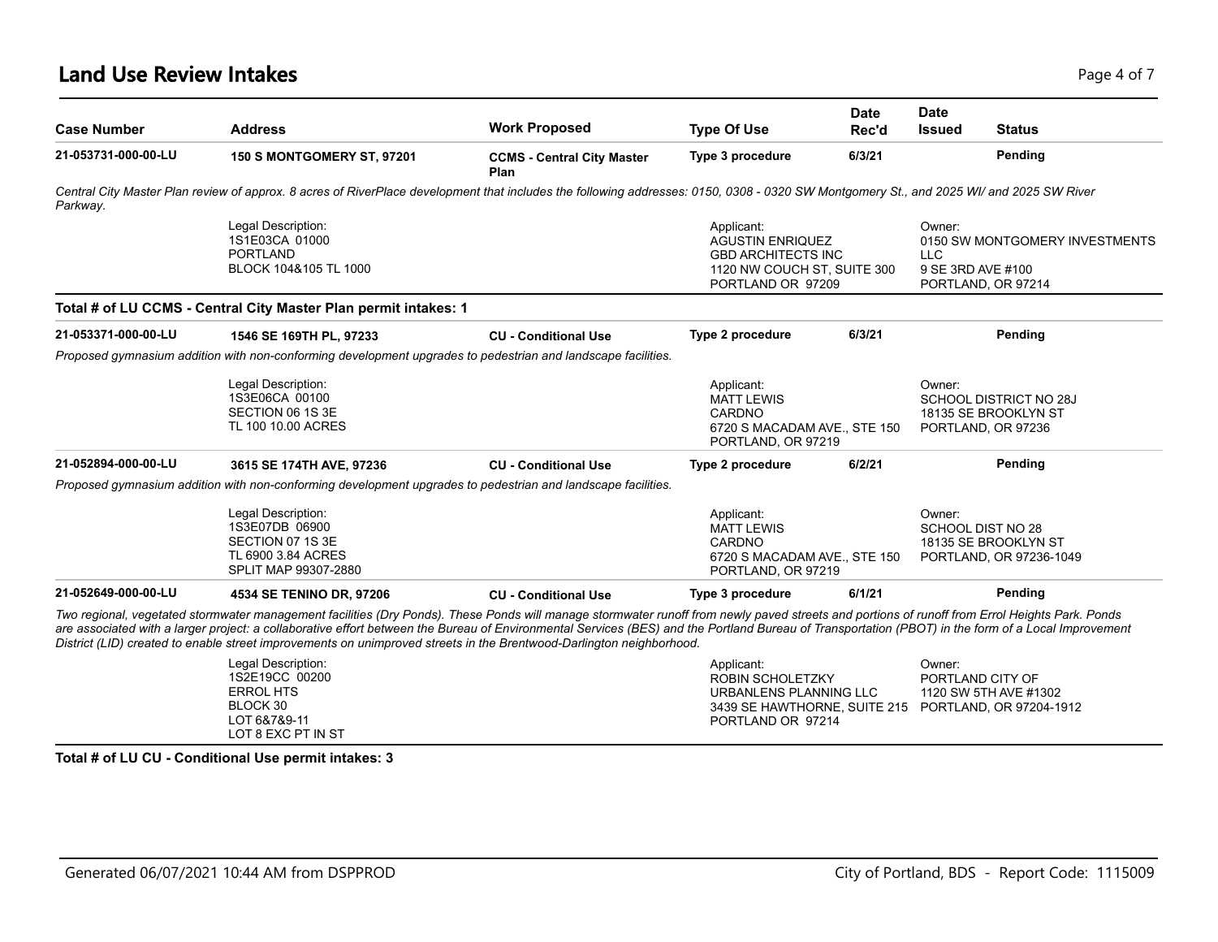### **Land Use Review Intakes** Page 4 of 7

| <b>Case Number</b>  | <b>Address</b>                                                                                                                                                                                                                                                                                                                                                                                                                                                                                                                | <b>Work Proposed</b>                      | <b>Type Of Use</b>                                                                                                                           | <b>Date</b><br>Rec'd | <b>Date</b><br><b>Issued</b>              | <b>Status</b>                                                        |
|---------------------|-------------------------------------------------------------------------------------------------------------------------------------------------------------------------------------------------------------------------------------------------------------------------------------------------------------------------------------------------------------------------------------------------------------------------------------------------------------------------------------------------------------------------------|-------------------------------------------|----------------------------------------------------------------------------------------------------------------------------------------------|----------------------|-------------------------------------------|----------------------------------------------------------------------|
| 21-053731-000-00-LU | 150 S MONTGOMERY ST, 97201                                                                                                                                                                                                                                                                                                                                                                                                                                                                                                    | <b>CCMS - Central City Master</b><br>Plan | Type 3 procedure                                                                                                                             | 6/3/21               |                                           | Pending                                                              |
| Parkway.            | Central City Master Plan review of approx. 8 acres of RiverPlace development that includes the following addresses: 0150, 0308 - 0320 SW Montgomery St., and 2025 WI/ and 2025 SW River                                                                                                                                                                                                                                                                                                                                       |                                           |                                                                                                                                              |                      |                                           |                                                                      |
|                     | Legal Description:<br>1S1E03CA 01000<br><b>PORTLAND</b><br>BLOCK 104&105 TL 1000                                                                                                                                                                                                                                                                                                                                                                                                                                              |                                           | Applicant:<br><b>AGUSTIN ENRIQUEZ</b><br><b>GBD ARCHITECTS INC</b><br>1120 NW COUCH ST, SUITE 300<br>PORTLAND OR 97209                       |                      | Owner:<br><b>LLC</b><br>9 SE 3RD AVE #100 | 0150 SW MONTGOMERY INVESTMENTS<br>PORTLAND, OR 97214                 |
|                     | Total # of LU CCMS - Central City Master Plan permit intakes: 1                                                                                                                                                                                                                                                                                                                                                                                                                                                               |                                           |                                                                                                                                              |                      |                                           |                                                                      |
| 21-053371-000-00-LU | 1546 SE 169TH PL, 97233                                                                                                                                                                                                                                                                                                                                                                                                                                                                                                       | <b>CU - Conditional Use</b>               | Type 2 procedure                                                                                                                             | 6/3/21               |                                           | Pending                                                              |
|                     | Proposed gymnasium addition with non-conforming development upgrades to pedestrian and landscape facilities.                                                                                                                                                                                                                                                                                                                                                                                                                  |                                           |                                                                                                                                              |                      |                                           |                                                                      |
|                     | Legal Description:<br>1S3E06CA 00100<br>SECTION 06 1S 3E<br>TL 100 10.00 ACRES                                                                                                                                                                                                                                                                                                                                                                                                                                                |                                           | Applicant:<br><b>MATT LEWIS</b><br>CARDNO<br>6720 S MACADAM AVE., STE 150<br>PORTLAND, OR 97219                                              |                      | Owner:                                    | SCHOOL DISTRICT NO 28J<br>18135 SE BROOKLYN ST<br>PORTLAND, OR 97236 |
| 21-052894-000-00-LU | 3615 SE 174TH AVE, 97236                                                                                                                                                                                                                                                                                                                                                                                                                                                                                                      | <b>CU - Conditional Use</b>               | Type 2 procedure                                                                                                                             | 6/2/21               |                                           | Pending                                                              |
|                     | Proposed gymnasium addition with non-conforming development upgrades to pedestrian and landscape facilities.                                                                                                                                                                                                                                                                                                                                                                                                                  |                                           |                                                                                                                                              |                      |                                           |                                                                      |
|                     | Legal Description:<br>1S3E07DB 06900<br>SECTION 07 1S 3E<br>TL 6900 3.84 ACRES<br>SPLIT MAP 99307-2880                                                                                                                                                                                                                                                                                                                                                                                                                        |                                           | Applicant:<br><b>MATT LEWIS</b><br>CARDNO<br>6720 S MACADAM AVE., STE 150<br>PORTLAND, OR 97219                                              |                      | Owner:                                    | SCHOOL DIST NO 28<br>18135 SE BROOKLYN ST<br>PORTLAND, OR 97236-1049 |
| 21-052649-000-00-LU | 4534 SE TENINO DR, 97206                                                                                                                                                                                                                                                                                                                                                                                                                                                                                                      | <b>CU - Conditional Use</b>               | Type 3 procedure                                                                                                                             | 6/1/21               |                                           | Pending                                                              |
|                     | Two regional, vegetated stormwater management facilities (Dry Ponds). These Ponds will manage stormwater runoff from newly paved streets and portions of runoff from Errol Heights Park. Ponds<br>are associated with a larger project: a collaborative effort between the Bureau of Environmental Services (BES) and the Portland Bureau of Transportation (PBOT) in the form of a Local Improvement<br>District (LID) created to enable street improvements on unimproved streets in the Brentwood-Darlington neighborhood. |                                           |                                                                                                                                              |                      |                                           |                                                                      |
|                     | Legal Description:<br>1S2E19CC 00200<br><b>ERROL HTS</b><br>BLOCK 30<br>LOT 6&7&9-11<br>LOT 8 EXC PT IN ST                                                                                                                                                                                                                                                                                                                                                                                                                    |                                           | Applicant:<br><b>ROBIN SCHOLETZKY</b><br>URBANLENS PLANNING LLC<br>3439 SE HAWTHORNE, SUITE 215 PORTLAND, OR 97204-1912<br>PORTLAND OR 97214 |                      | Owner:                                    | PORTLAND CITY OF<br>1120 SW 5TH AVE #1302                            |

**Total # of LU CU - Conditional Use permit intakes: 3**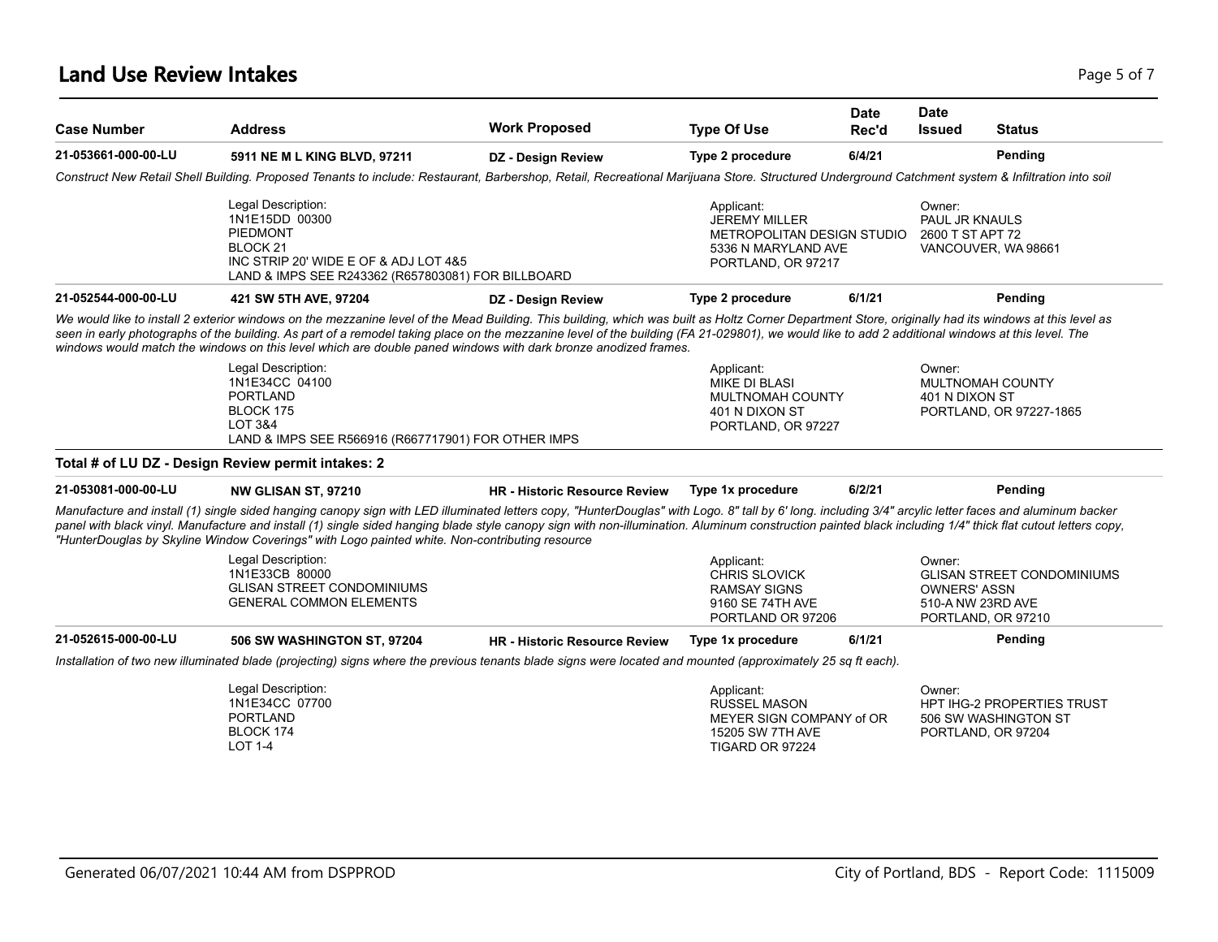### **Land Use Review Intakes** Page 5 of 7

| <b>Case Number</b>  | <b>Address</b>                                                                                                                                                                                                                                                                                                                                                                                                                                                                                                              | <b>Work Proposed</b>                 | <b>Type Of Use</b>                                                                                            | Date<br>Rec'd | <b>Date</b><br><b>Issued</b>                       | <b>Status</b>                                             |
|---------------------|-----------------------------------------------------------------------------------------------------------------------------------------------------------------------------------------------------------------------------------------------------------------------------------------------------------------------------------------------------------------------------------------------------------------------------------------------------------------------------------------------------------------------------|--------------------------------------|---------------------------------------------------------------------------------------------------------------|---------------|----------------------------------------------------|-----------------------------------------------------------|
| 21-053661-000-00-LU | 5911 NE M L KING BLVD, 97211                                                                                                                                                                                                                                                                                                                                                                                                                                                                                                | <b>DZ</b> - Design Review            | Type 2 procedure                                                                                              | 6/4/21        |                                                    | Pending                                                   |
|                     | Construct New Retail Shell Building. Proposed Tenants to include: Restaurant, Barbershop, Retail, Recreational Marijuana Store. Structured Underground Catchment system & Infiltration into soil                                                                                                                                                                                                                                                                                                                            |                                      |                                                                                                               |               |                                                    |                                                           |
|                     | Legal Description:<br>1N1E15DD 00300<br><b>PIEDMONT</b><br>BLOCK 21<br>INC STRIP 20' WIDE E OF & ADJ LOT 4&5<br>LAND & IMPS SEE R243362 (R657803081) FOR BILLBOARD                                                                                                                                                                                                                                                                                                                                                          |                                      | Applicant:<br><b>JEREMY MILLER</b><br>METROPOLITAN DESIGN STUDIO<br>5336 N MARYLAND AVE<br>PORTLAND, OR 97217 |               | Owner:<br>PAUL JR KNAULS<br>2600 T ST APT 72       | VANCOUVER, WA 98661                                       |
| 21-052544-000-00-LU | 421 SW 5TH AVE, 97204                                                                                                                                                                                                                                                                                                                                                                                                                                                                                                       | DZ - Design Review                   | Type 2 procedure                                                                                              | 6/1/21        |                                                    | Pending                                                   |
|                     | We would like to install 2 exterior windows on the mezzanine level of the Mead Building. This building, which was built as Holtz Corner Department Store, originally had its windows at this level as<br>seen in early photographs of the building. As part of a remodel taking place on the mezzanine level of the building (FA 21-029801), we would like to add 2 additional windows at this level. The<br>windows would match the windows on this level which are double paned windows with dark bronze anodized frames. |                                      |                                                                                                               |               |                                                    |                                                           |
|                     | Legal Description:<br>1N1E34CC 04100<br><b>PORTLAND</b><br>BLOCK 175<br>LOT 3&4<br>LAND & IMPS SEE R566916 (R667717901) FOR OTHER IMPS                                                                                                                                                                                                                                                                                                                                                                                      |                                      | Applicant:<br>MIKE DI BLASI<br>MULTNOMAH COUNTY<br>401 N DIXON ST<br>PORTLAND, OR 97227                       |               | Owner:<br>401 N DIXON ST                           | MULTNOMAH COUNTY<br>PORTLAND, OR 97227-1865               |
|                     | Total # of LU DZ - Design Review permit intakes: 2                                                                                                                                                                                                                                                                                                                                                                                                                                                                          |                                      |                                                                                                               |               |                                                    |                                                           |
| 21-053081-000-00-LU | <b>NW GLISAN ST. 97210</b>                                                                                                                                                                                                                                                                                                                                                                                                                                                                                                  | HR - Historic Resource Review        | Type 1x procedure                                                                                             | 6/2/21        |                                                    | Pending                                                   |
|                     | Manufacture and install (1) single sided hanging canopy sign with LED illuminated letters copy, "HunterDouglas" with Logo. 8" tall by 6' long. including 3/4" arcylic letter faces and aluminum backer<br>panel with black vinyl. Manufacture and install (1) single sided hanging blade style canopy sign with non-illumination. Aluminum construction painted black including 1/4" thick flat cutout letters copy,<br>"HunterDouglas by Skyline Window Coverings" with Logo painted white. Non-contributing resource      |                                      |                                                                                                               |               |                                                    |                                                           |
|                     | Legal Description:<br>1N1E33CB 80000<br><b>GLISAN STREET CONDOMINIUMS</b><br><b>GENERAL COMMON ELEMENTS</b>                                                                                                                                                                                                                                                                                                                                                                                                                 |                                      | Applicant:<br><b>CHRIS SLOVICK</b><br><b>RAMSAY SIGNS</b><br>9160 SE 74TH AVE<br>PORTLAND OR 97206            |               | Owner:<br><b>OWNERS' ASSN</b><br>510-A NW 23RD AVE | <b>GLISAN STREET CONDOMINIUMS</b><br>PORTLAND, OR 97210   |
| 21-052615-000-00-LU | <b>506 SW WASHINGTON ST, 97204</b>                                                                                                                                                                                                                                                                                                                                                                                                                                                                                          | <b>HR - Historic Resource Review</b> | Type 1x procedure                                                                                             | 6/1/21        |                                                    | Pending                                                   |
|                     | Installation of two new illuminated blade (projecting) signs where the previous tenants blade signs were located and mounted (approximately 25 sq ft each).                                                                                                                                                                                                                                                                                                                                                                 |                                      |                                                                                                               |               |                                                    |                                                           |
|                     | Legal Description:<br>1N1E34CC 07700<br><b>PORTLAND</b><br>BLOCK 174                                                                                                                                                                                                                                                                                                                                                                                                                                                        |                                      | Applicant:<br><b>RUSSEL MASON</b><br>MEYER SIGN COMPANY of OR<br>15205 SW 7TH AVE                             |               | Owner:<br>PORTLAND, OR 97204                       | <b>HPT IHG-2 PROPERTIES TRUST</b><br>506 SW WASHINGTON ST |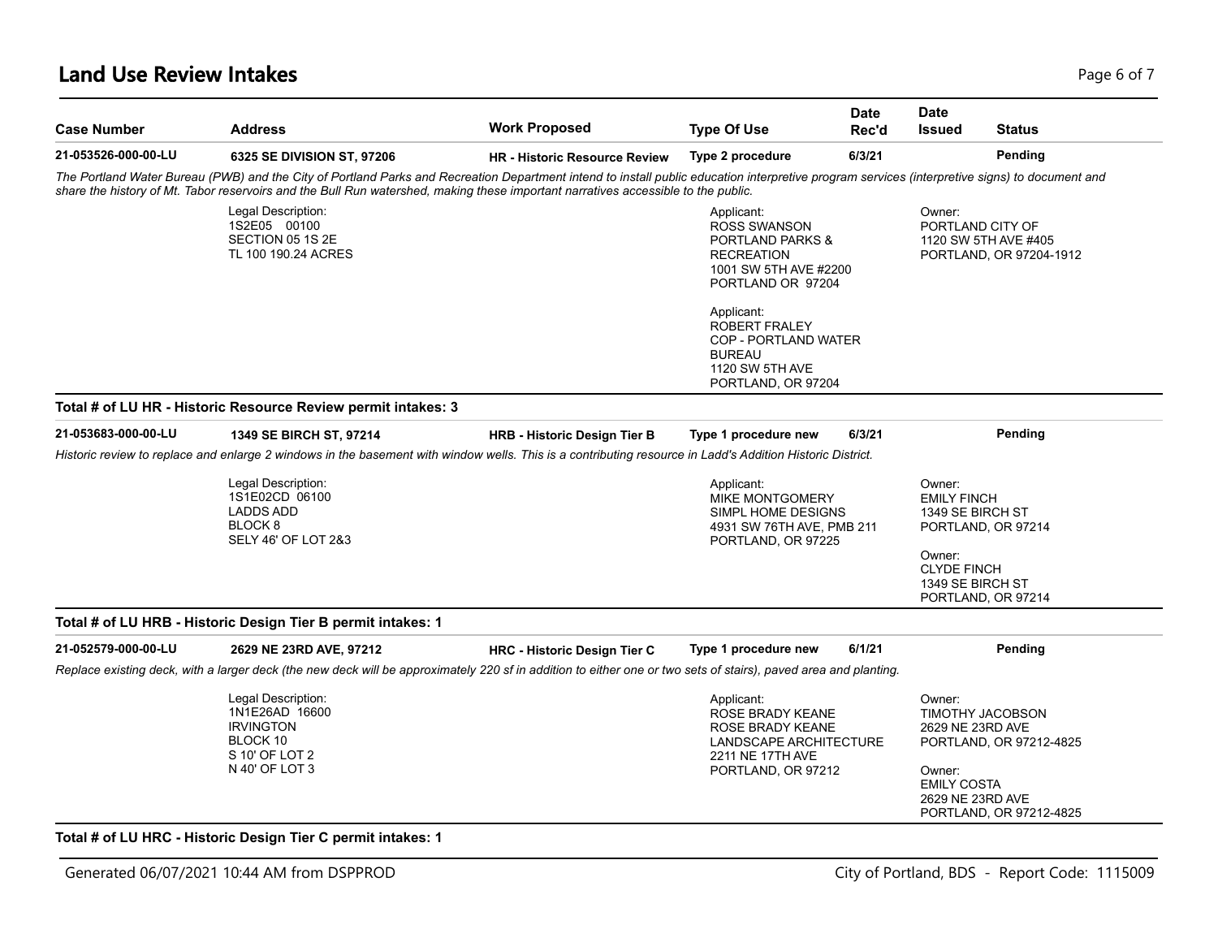### **Land Use Review Intakes** Page 6 of 7

| <b>Case Number</b>  | <b>Address</b>                                                                                                                                                                                                                                                                                                                      | <b>Work Proposed</b>                 | <b>Type Of Use</b>                                                                                                                  | <b>Date</b><br>Rec'd | <b>Date</b><br><b>Issued</b>                                                                         | <b>Status</b>                                                       |
|---------------------|-------------------------------------------------------------------------------------------------------------------------------------------------------------------------------------------------------------------------------------------------------------------------------------------------------------------------------------|--------------------------------------|-------------------------------------------------------------------------------------------------------------------------------------|----------------------|------------------------------------------------------------------------------------------------------|---------------------------------------------------------------------|
| 21-053526-000-00-LU | 6325 SE DIVISION ST, 97206                                                                                                                                                                                                                                                                                                          | <b>HR - Historic Resource Review</b> | Type 2 procedure                                                                                                                    | 6/3/21               |                                                                                                      | Pending                                                             |
|                     | The Portland Water Bureau (PWB) and the City of Portland Parks and Recreation Department intend to install public education interpretive program services (interpretive signs) to document and<br>share the history of Mt. Tabor reservoirs and the Bull Run watershed, making these important narratives accessible to the public. |                                      |                                                                                                                                     |                      |                                                                                                      |                                                                     |
|                     | Legal Description:<br>1S2E05 00100<br>SECTION 05 1S 2E<br>TL 100 190.24 ACRES                                                                                                                                                                                                                                                       |                                      | Applicant:<br><b>ROSS SWANSON</b><br><b>PORTLAND PARKS &amp;</b><br><b>RECREATION</b><br>1001 SW 5TH AVE #2200<br>PORTLAND OR 97204 |                      | Owner:                                                                                               | PORTLAND CITY OF<br>1120 SW 5TH AVE #405<br>PORTLAND, OR 97204-1912 |
|                     |                                                                                                                                                                                                                                                                                                                                     |                                      | Applicant:<br>ROBERT FRALEY<br>COP - PORTLAND WATER<br><b>BUREAU</b><br>1120 SW 5TH AVE<br>PORTLAND, OR 97204                       |                      |                                                                                                      |                                                                     |
|                     | Total # of LU HR - Historic Resource Review permit intakes: 3                                                                                                                                                                                                                                                                       |                                      |                                                                                                                                     |                      |                                                                                                      |                                                                     |
| 21-053683-000-00-LU | 1349 SE BIRCH ST, 97214                                                                                                                                                                                                                                                                                                             | <b>HRB - Historic Design Tier B</b>  | Type 1 procedure new                                                                                                                | 6/3/21               |                                                                                                      | Pending                                                             |
|                     | Historic review to replace and enlarge 2 windows in the basement with window wells. This is a contributing resource in Ladd's Addition Historic District.                                                                                                                                                                           |                                      |                                                                                                                                     |                      |                                                                                                      |                                                                     |
|                     | Legal Description:<br>1S1E02CD 06100<br><b>LADDS ADD</b><br>BLOCK <sub>8</sub><br>SELY 46' OF LOT 2&3                                                                                                                                                                                                                               |                                      | Applicant:<br><b>MIKE MONTGOMERY</b><br>SIMPL HOME DESIGNS<br>4931 SW 76TH AVE, PMB 211<br>PORTLAND, OR 97225                       |                      | Owner:<br><b>EMILY FINCH</b><br>1349 SE BIRCH ST<br>Owner:<br><b>CLYDE FINCH</b><br>1349 SE BIRCH ST | PORTLAND, OR 97214                                                  |
|                     |                                                                                                                                                                                                                                                                                                                                     |                                      |                                                                                                                                     |                      |                                                                                                      | PORTLAND, OR 97214                                                  |
|                     | Total # of LU HRB - Historic Design Tier B permit intakes: 1                                                                                                                                                                                                                                                                        |                                      |                                                                                                                                     |                      |                                                                                                      |                                                                     |
| 21-052579-000-00-LU | 2629 NE 23RD AVE, 97212                                                                                                                                                                                                                                                                                                             | <b>HRC - Historic Design Tier C</b>  | Type 1 procedure new                                                                                                                | 6/1/21               |                                                                                                      | Pending                                                             |
|                     | Replace existing deck, with a larger deck (the new deck will be approximately 220 sf in addition to either one or two sets of stairs), paved area and planting.                                                                                                                                                                     |                                      |                                                                                                                                     |                      |                                                                                                      |                                                                     |
|                     | Legal Description:<br>1N1E26AD 16600<br><b>IRVINGTON</b><br>BLOCK 10<br>S 10' OF LOT 2<br>N 40' OF LOT 3                                                                                                                                                                                                                            |                                      | Applicant:<br>ROSE BRADY KEANE<br>ROSE BRADY KEANE<br>LANDSCAPE ARCHITECTURE<br>2211 NE 17TH AVE<br>PORTLAND, OR 97212              |                      | Owner:<br>2629 NE 23RD AVE<br>Owner:<br><b>EMILY COSTA</b>                                           | TIMOTHY JACOBSON<br>PORTLAND, OR 97212-4825                         |

#### Generated 06/07/2021 10:44 AM from DSPPROD City of Portland, BDS - Report Code: 1115009